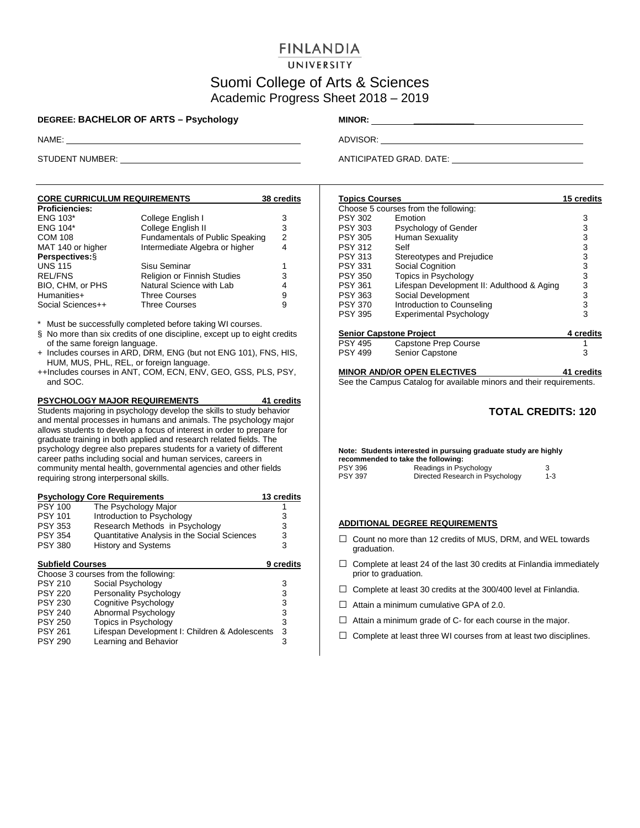# **FINLANDIA**

UNIVERSITY

## Suomi College of Arts & Sciences Academic Progress Sheet 2018 – 2019

### **DEGREE: BACHELOR OF ARTS – Psychology MINOR:** \_\_\_\_\_\_\_\_\_\_\_\_\_

| <b>CORE CURRICULUM REQUIREMENTS</b> |                                    | 38 credits |
|-------------------------------------|------------------------------------|------------|
| <b>Proficiencies:</b>               |                                    |            |
| <b>ENG 103*</b>                     | College English I                  | 3          |
| <b>ENG 104*</b>                     | College English II                 | 3          |
| <b>COM 108</b>                      | Fundamentals of Public Speaking    | 2          |
| MAT 140 or higher                   | Intermediate Algebra or higher     | 4          |
| Perspectives: §                     |                                    |            |
| <b>UNS 115</b>                      | Sisu Seminar                       |            |
| <b>REL/FNS</b>                      | <b>Religion or Finnish Studies</b> | 3          |
| BIO, CHM, or PHS                    | Natural Science with Lab           | 4          |
| Humanities+                         | <b>Three Courses</b>               | 9          |
| Social Sciences++                   | Three Courses                      | 9          |

\* Must be successfully completed before taking WI courses.

- § No more than six credits of one discipline, except up to eight credits of the same foreign language.
- + Includes courses in ARD, DRM, ENG (but not ENG 101), FNS, HIS, HUM, MUS, PHL, REL, or foreign language.
- ++Includes courses in ANT, COM, ECN, ENV, GEO, GSS, PLS, PSY, and SOC.

**PSYCHOLOGY MAJOR REQUIREMENTS 41 credits** Students majoring in psychology develop the skills to study behavior and mental processes in humans and animals. The psychology major allows students to develop a focus of interest in order to prepare for graduate training in both applied and research related fields. The psychology degree also prepares students for a variety of different career paths including social and human services, careers in community mental health, governmental agencies and other fields requiring strong interpersonal skills.

|                         | <b>Psychology Core Requirements</b>            | 13 credits       |
|-------------------------|------------------------------------------------|------------------|
| <b>PSY 100</b>          | The Psychology Major                           |                  |
| <b>PSY 101</b>          | Introduction to Psychology                     | 3                |
| <b>PSY 353</b>          | Research Methods in Psychology                 | 3                |
| <b>PSY 354</b>          | Quantitative Analysis in the Social Sciences   | 3                |
| <b>PSY 380</b>          | <b>History and Systems</b>                     | 3                |
| <b>Subfield Courses</b> |                                                | <b>9 credits</b> |
|                         | Choose 3 courses from the following:           |                  |
| <b>PSY 210</b>          | Social Psychology                              | 3                |
| <b>PSY 220</b>          | Personality Psychology                         | 3                |
| <b>PSY 230</b>          | Cognitive Psychology                           | 3                |
| <b>PSY 240</b>          | Abnormal Psychology                            | 3                |
| <b>PSY 250</b>          | Topics in Psychology                           | 3                |
| <b>PSY 261</b>          | Lifespan Development I: Children & Adolescents | 3                |
| <b>PSY 290</b>          | Learning and Behavior                          | 3                |

NAME: ADVISOR: ADVISOR: ADVISOR: ADVISOR: ADVISOR: ADVISOR: ADVISOR: ADVISOR: ADVISOR: ADVISOR: ADVISOR: ADVISOR: ADVISOR: ADVISOR: ADVISOR: ADVISOR: ADVISOR: ADVISOR: ADVISOR: ADVISOR: ADVISOR: ADVISOR: ADVISOR: ADVISOR:

STUDENT NUMBER: ANTICIPATED GRAD. DATE:

| <b>Topics Courses</b>          |                                            | 15 credits |
|--------------------------------|--------------------------------------------|------------|
|                                | Choose 5 courses from the following:       |            |
| <b>PSY 302</b>                 | <b>Emotion</b>                             | 3          |
| PSY 303                        | Psychology of Gender                       | 3          |
| <b>PSY 305</b>                 | <b>Human Sexuality</b>                     | 3          |
| <b>PSY 312</b>                 | Self                                       | 3          |
| <b>PSY 313</b>                 | Stereotypes and Prejudice                  | 3          |
| <b>PSY 331</b>                 | Social Cognition                           | 3          |
| <b>PSY 350</b>                 | <b>Topics in Psychology</b>                | 3          |
| <b>PSY 361</b>                 | Lifespan Development II: Adulthood & Aging | 3          |
| <b>PSY 363</b>                 | Social Development                         | 3          |
| <b>PSY 370</b>                 | Introduction to Counseling                 | 3          |
| <b>PSY 395</b>                 | <b>Experimental Psychology</b>             | 3          |
| <b>Senior Capstone Project</b> |                                            | 4 credits  |
| <b>PSY 495</b>                 | Capstone Prep Course                       |            |
| <b>PSY 499</b>                 | <b>Senior Capstone</b>                     | 3          |
|                                |                                            |            |

#### **MINOR AND/OR OPEN ELECTIVES 41 credits**

See the Campus Catalog for available minors and their requirements.

### **TOTAL CREDITS: 120**

**Note: Students interested in pursuing graduate study are highly recommended to take the following:** PSY 396 **Readings in Psychology** 3<br>PSY 397 **Directed Research in Psychology** 3-3 Directed Research in Psychology

#### **ADDITIONAL DEGREE REQUIREMENTS**

- $\Box$  Count no more than 12 credits of MUS, DRM, and WEL towards graduation.
- $\Box$  Complete at least 24 of the last 30 credits at Finlandia immediately prior to graduation.
- $\Box$  Complete at least 30 credits at the 300/400 level at Finlandia.
- $\Box$  Attain a minimum cumulative GPA of 2.0.
- $\Box$  Attain a minimum grade of C- for each course in the major.
- $\Box$  Complete at least three WI courses from at least two disciplines.